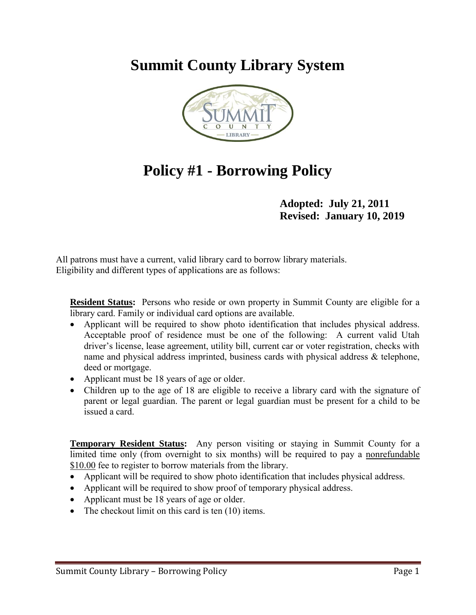# **Summit County Library System**



# **Policy #1 - Borrowing Policy**

**Adopted: July 21, 2011 Revised: January 10, 2019**

All patrons must have a current, valid library card to borrow library materials. Eligibility and different types of applications are as follows:

**Resident Status:** Persons who reside or own property in Summit County are eligible for a library card. Family or individual card options are available.

- Applicant will be required to show photo identification that includes physical address. Acceptable proof of residence must be one of the following: A current valid Utah driver's license, lease agreement, utility bill, current car or voter registration, checks with name and physical address imprinted, business cards with physical address & telephone, deed or mortgage.
- Applicant must be 18 years of age or older.
- Children up to the age of 18 are eligible to receive a library card with the signature of parent or legal guardian. The parent or legal guardian must be present for a child to be issued a card.

**Temporary Resident Status:** Any person visiting or staying in Summit County for a limited time only (from overnight to six months) will be required to pay a nonrefundable \$10.00 fee to register to borrow materials from the library.

- Applicant will be required to show photo identification that includes physical address.
- Applicant will be required to show proof of temporary physical address.
- Applicant must be 18 years of age or older.
- The checkout limit on this card is ten (10) items.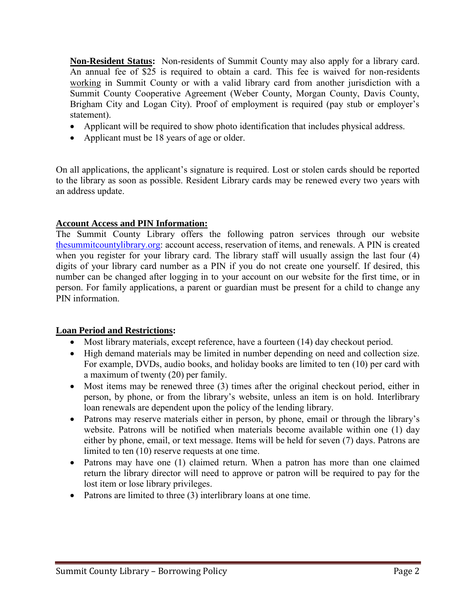**Non-Resident Status:** Non-residents of Summit County may also apply for a library card. An annual fee of \$25 is required to obtain a card. This fee is waived for non-residents working in Summit County or with a valid library card from another jurisdiction with a Summit County Cooperative Agreement (Weber County, Morgan County, Davis County, Brigham City and Logan City). Proof of employment is required (pay stub or employer's statement).

- Applicant will be required to show photo identification that includes physical address.
- Applicant must be 18 years of age or older.

On all applications, the applicant's signature is required. Lost or stolen cards should be reported to the library as soon as possible. Resident Library cards may be renewed every two years with an address update.

#### **Account Access and PIN Information:**

The Summit County Library offers the following patron services through our website [thesummitcountylibrary.org:](http://thesummitcountylibrary.org/) account access, reservation of items, and renewals. A PIN is created when you register for your library card. The library staff will usually assign the last four (4) digits of your library card number as a PIN if you do not create one yourself. If desired, this number can be changed after logging in to your account on our website for the first time, or in person. For family applications, a parent or guardian must be present for a child to change any PIN information.

#### **Loan Period and Restrictions:**

- Most library materials, except reference, have a fourteen (14) day checkout period.
- High demand materials may be limited in number depending on need and collection size. For example, DVDs, audio books, and holiday books are limited to ten (10) per card with a maximum of twenty (20) per family.
- Most items may be renewed three (3) times after the original checkout period, either in person, by phone, or from the library's website, unless an item is on hold. Interlibrary loan renewals are dependent upon the policy of the lending library.
- Patrons may reserve materials either in person, by phone, email or through the library's website. Patrons will be notified when materials become available within one (1) day either by phone, email, or text message. Items will be held for seven (7) days. Patrons are limited to ten (10) reserve requests at one time.
- Patrons may have one (1) claimed return. When a patron has more than one claimed return the library director will need to approve or patron will be required to pay for the lost item or lose library privileges.
- Patrons are limited to three (3) interlibrary loans at one time.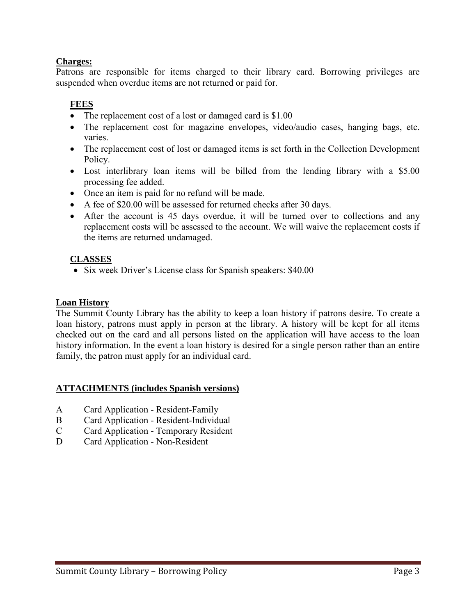### **Charges:**

Patrons are responsible for items charged to their library card. Borrowing privileges are suspended when overdue items are not returned or paid for.

### **FEES**

- The replacement cost of a lost or damaged card is \$1.00
- The replacement cost for magazine envelopes, video/audio cases, hanging bags, etc. varies.
- The replacement cost of lost or damaged items is set forth in the Collection Development Policy.
- Lost interlibrary loan items will be billed from the lending library with a \$5.00 processing fee added.
- Once an item is paid for no refund will be made.
- A fee of \$20.00 will be assessed for returned checks after 30 days.
- After the account is 45 days overdue, it will be turned over to collections and any replacement costs will be assessed to the account. We will waive the replacement costs if the items are returned undamaged.

### **CLASSES**

• Six week Driver's License class for Spanish speakers: \$40.00

### **Loan History**

The Summit County Library has the ability to keep a loan history if patrons desire. To create a loan history, patrons must apply in person at the library. A history will be kept for all items checked out on the card and all persons listed on the application will have access to the loan history information. In the event a loan history is desired for a single person rather than an entire family, the patron must apply for an individual card.

### **ATTACHMENTS (includes Spanish versions)**

- A Card Application Resident-Family
- B Card Application Resident-Individual
- C Card Application Temporary Resident
- D Card Application Non-Resident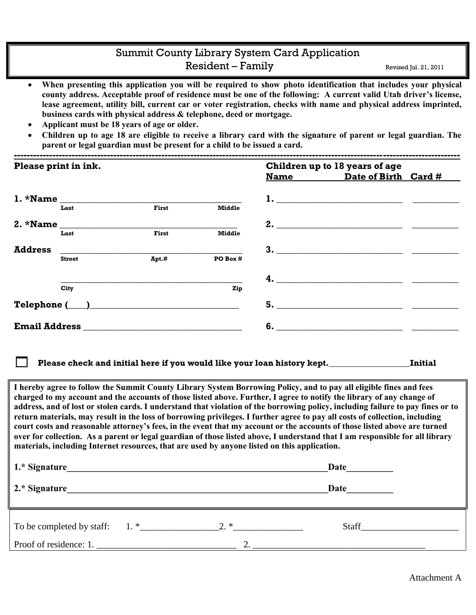### Summit County Library System Card Application Resident – Family Revised Jul. 21, 2011

- **When presenting this application you will be required to show photo identification that includes your physical county address. Acceptable proof of residence must be one of the following: A current valid Utah driver's license, lease agreement, utility bill, current car or voter registration, checks with name and physical address imprinted, business cards with physical address & telephone, deed or mortgage.**
- **Applicant must be 18 years of age or older.**
- **Children up to age 18 are eligible to receive a library card with the signature of parent or legal guardian. The parent or legal guardian must be present for a child to be issued a card.**

| Please print in ink. |               |       |               | Children up to 18 years of age |                           |  |
|----------------------|---------------|-------|---------------|--------------------------------|---------------------------|--|
|                      |               |       |               |                                | Name Date of Birth Card # |  |
|                      |               |       |               |                                |                           |  |
|                      | Last          | First | <b>Middle</b> |                                |                           |  |
| $2.$ *Name $\_\_$    |               |       |               |                                | 2.                        |  |
|                      | Last          | First | <b>Middle</b> |                                |                           |  |
| <b>Address</b>       |               |       |               |                                | 3.                        |  |
|                      | <b>Street</b> | Apt.# | PO Box #      |                                |                           |  |
|                      |               |       |               |                                |                           |  |
|                      | City          |       | Zip           |                                |                           |  |
|                      |               |       |               | 5.                             |                           |  |
|                      |               |       |               | 6.                             |                           |  |

**Please check and initial here if you would like your loan history kept.\_\_\_\_\_\_\_\_\_\_\_\_\_\_\_\_\_\_\_Initial**

**I hereby agree to follow the Summit County Library System Borrowing Policy, and to pay all eligible fines and fees charged to my account and the accounts of those listed above. Further, I agree to notify the library of any change of address, and of lost or stolen cards. I understand that violation of the borrowing policy, including failure to pay fines or to return materials, may result in the loss of borrowing privileges. I further agree to pay all costs of collection, including court costs and reasonable attorney's fees, in the event that my account or the accounts of those listed above are turned over for collection. As a parent or legal guardian of those listed above, I understand that I am responsible for all library materials, including Internet resources, that are used by anyone listed on this application.**

| 1.* Signature          |          | Date                                                                                                                                                                                                                          |
|------------------------|----------|-------------------------------------------------------------------------------------------------------------------------------------------------------------------------------------------------------------------------------|
| 2.* Signature          |          | Date                                                                                                                                                                                                                          |
|                        |          | Staff and the state of the state of the state of the state of the state of the state of the state of the state of the state of the state of the state of the state of the state of the state of the state of the state of the |
| Proof of residence: 1. | $\gamma$ |                                                                                                                                                                                                                               |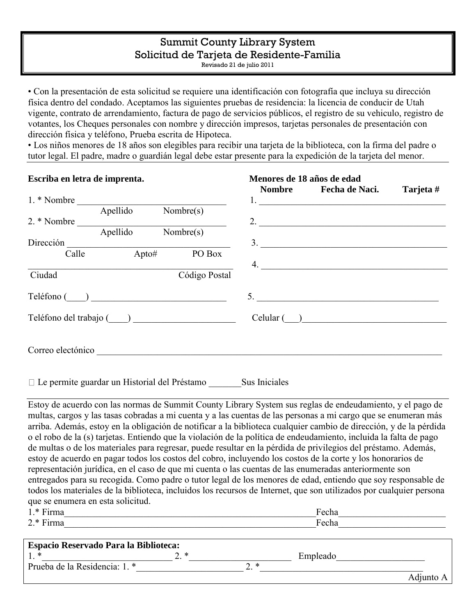# Summit County Library System Solicitud de Tarjeta de Residente-Familia

Revisado 21 de julio 2011

• Con la presentación de esta solicitud se requiere una identificación con fotografía que incluya su dirección física dentro del condado. Aceptamos las siguientes pruebas de residencia: la licencia de conducir de Utah vigente, contrato de arrendamiento, factura de pago de servicios públicos, el registro de su vehiculo, registro de votantes, los Cheques personales con nombre y dirección impresos, tarjetas personales de presentación con dirección física y teléfono, Prueba escrita de Hipoteca.

• Los niños menores de 18 años son elegibles para recibir una tarjeta de la biblioteca, con la firma del padre o tutor legal. El padre, madre o guardián legal debe estar presente para la expedición de la tarjeta del menor.

| Escriba en letra de imprenta. |          |                                                   | Menores de 18 años de edad |                                       |           |
|-------------------------------|----------|---------------------------------------------------|----------------------------|---------------------------------------|-----------|
|                               |          |                                                   |                            | Nombre Fecha de Naci.                 | Tarjeta # |
| 1. * Nombre                   |          |                                                   |                            | 1. <u>___________________________</u> |           |
|                               | Apellido | $\overline{\text{Nonbre(s)}}$                     |                            |                                       |           |
| 2. * Nombre                   |          |                                                   |                            | 2. $\overline{\phantom{a}}$           |           |
|                               |          | Apellido Nombre(s)                                |                            |                                       |           |
| Dirección                     |          |                                                   |                            | $\overline{\mathbf{3}}$ .             |           |
| Calle                         |          | $\overline{\qquad \qquad }$ Apto# PO Bo<br>PO Box |                            | 4. $\qquad \qquad$                    |           |
| Ciudad                        |          | Código Postal                                     |                            |                                       |           |
| Teléfono ()                   |          |                                                   |                            |                                       |           |
| Teléfono del trabajo (COLOC)  |          |                                                   |                            | Cellular( )                           |           |
| Correo electónico             |          |                                                   |                            |                                       |           |
|                               |          |                                                   |                            |                                       |           |

 $\Box$  Le permite guardar un Historial del Préstamo  $\Box$  Sus Iniciales

Estoy de acuerdo con las normas de Summit County Library System sus reglas de endeudamiento, y el pago de multas, cargos y las tasas cobradas a mi cuenta y a las cuentas de las personas a mi cargo que se enumeran más arriba. Además, estoy en la obligación de notificar a la biblioteca cualquier cambio de dirección, y de la pérdida o el robo de la (s) tarjetas. Entiendo que la violación de la política de endeudamiento, incluida la falta de pago de multas o de los materiales para regresar, puede resultar en la pérdida de privilegios del préstamo. Además, estoy de acuerdo en pagar todos los costos del cobro, incluyendo los costos de la corte y los honorarios de representación jurídica, en el caso de que mi cuenta o las cuentas de las enumeradas anteriormente son entregados para su recogida. Como padre o tutor legal de los menores de edad, entiendo que soy responsable de todos los materiales de la biblioteca, incluidos los recursos de Internet, que son utilizados por cualquier persona que se enumera en esta solicitud.

| $1.*$ Firma                                  |     |     | Fecha    |  |
|----------------------------------------------|-----|-----|----------|--|
| $2.*$ Firma                                  |     |     | Fecha    |  |
|                                              |     |     |          |  |
| <b>Espacio Reservado Para la Biblioteca:</b> |     |     |          |  |
| $1.*$                                        | י י |     | Empleado |  |
| Prueba de la Residencia: 1. *                |     | า ∗ |          |  |

Adjunto A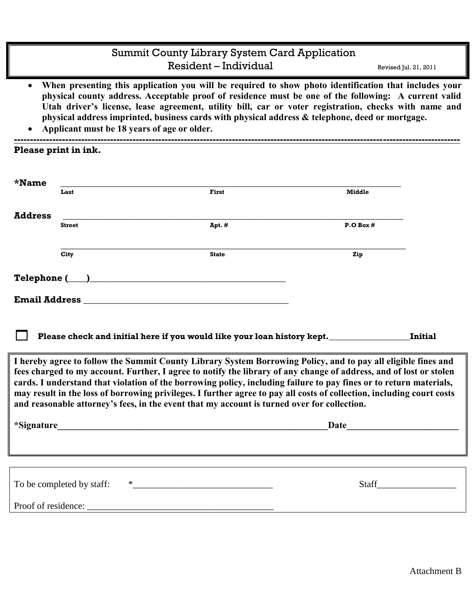### Summit County Library System Card Application Resident – Individual Revised Jul. 21, 2011

- **When presenting this application you will be required to show photo identification that includes your physical county address. Acceptable proof of residence must be one of the following: A current valid Utah driver's license, lease agreement, utility bill, car or voter registration, checks with name and physical address imprinted, business cards with physical address & telephone, deed or mortgage.**
- **Applicant must be 18 years of age or older. -------------------------------------------------------------------------------------------------------------------------------------------**

**Please print in ink.** 

| *Name          |                           |                                                                                                                                                                                                                                                                                                                                                                                                                                                                                                                                                                                   |                                                                                                                                                                                                                               |                |
|----------------|---------------------------|-----------------------------------------------------------------------------------------------------------------------------------------------------------------------------------------------------------------------------------------------------------------------------------------------------------------------------------------------------------------------------------------------------------------------------------------------------------------------------------------------------------------------------------------------------------------------------------|-------------------------------------------------------------------------------------------------------------------------------------------------------------------------------------------------------------------------------|----------------|
|                | Last                      | First                                                                                                                                                                                                                                                                                                                                                                                                                                                                                                                                                                             | <b>Middle</b>                                                                                                                                                                                                                 |                |
|                |                           |                                                                                                                                                                                                                                                                                                                                                                                                                                                                                                                                                                                   |                                                                                                                                                                                                                               |                |
| <b>Address</b> | <b>Street</b>             | Apt. #                                                                                                                                                                                                                                                                                                                                                                                                                                                                                                                                                                            | P. O Box #                                                                                                                                                                                                                    |                |
|                |                           |                                                                                                                                                                                                                                                                                                                                                                                                                                                                                                                                                                                   |                                                                                                                                                                                                                               |                |
|                |                           |                                                                                                                                                                                                                                                                                                                                                                                                                                                                                                                                                                                   |                                                                                                                                                                                                                               |                |
|                | City                      | <b>State</b>                                                                                                                                                                                                                                                                                                                                                                                                                                                                                                                                                                      | Zip                                                                                                                                                                                                                           |                |
|                |                           | Telephone (Quantilation of the contract of the contract of the contract of the contract of the contract of the contract of the contract of the contract of the contract of the contract of the contract of the contract of the                                                                                                                                                                                                                                                                                                                                                    |                                                                                                                                                                                                                               |                |
|                |                           |                                                                                                                                                                                                                                                                                                                                                                                                                                                                                                                                                                                   |                                                                                                                                                                                                                               |                |
|                |                           |                                                                                                                                                                                                                                                                                                                                                                                                                                                                                                                                                                                   |                                                                                                                                                                                                                               |                |
|                |                           |                                                                                                                                                                                                                                                                                                                                                                                                                                                                                                                                                                                   |                                                                                                                                                                                                                               |                |
|                |                           | Please check and initial here if you would like your loan history kept.                                                                                                                                                                                                                                                                                                                                                                                                                                                                                                           |                                                                                                                                                                                                                               | <b>Initial</b> |
|                |                           | I hereby agree to follow the Summit County Library System Borrowing Policy, and to pay all eligible fines and<br>fees charged to my account. Further, I agree to notify the library of any change of address, and of lost or stolen<br>cards. I understand that violation of the borrowing policy, including failure to pay fines or to return materials,<br>may result in the loss of borrowing privileges. I further agree to pay all costs of collection, including court costs<br>and reasonable attorney's fees, in the event that my account is turned over for collection. |                                                                                                                                                                                                                               |                |
|                |                           |                                                                                                                                                                                                                                                                                                                                                                                                                                                                                                                                                                                   | Date and the set of the set of the set of the set of the set of the set of the set of the set of the set of the set of the set of the set of the set of the set of the set of the set of the set of the set of the set of the |                |
|                |                           |                                                                                                                                                                                                                                                                                                                                                                                                                                                                                                                                                                                   |                                                                                                                                                                                                                               |                |
|                |                           |                                                                                                                                                                                                                                                                                                                                                                                                                                                                                                                                                                                   |                                                                                                                                                                                                                               |                |
|                | To be completed by staff: |                                                                                                                                                                                                                                                                                                                                                                                                                                                                                                                                                                                   |                                                                                                                                                                                                                               | <b>Staff</b>   |
|                |                           |                                                                                                                                                                                                                                                                                                                                                                                                                                                                                                                                                                                   |                                                                                                                                                                                                                               |                |
|                |                           |                                                                                                                                                                                                                                                                                                                                                                                                                                                                                                                                                                                   |                                                                                                                                                                                                                               |                |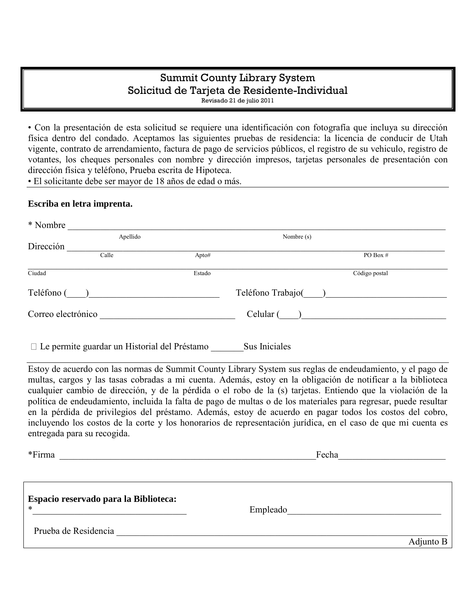# Summit County Library System Solicitud de Tarjeta de Residente-Individual

Revisado 21 de julio 2011

• Con la presentación de esta solicitud se requiere una identificación con fotografía que incluya su dirección física dentro del condado. Aceptamos las siguientes pruebas de residencia: la licencia de conducir de Utah vigente, contrato de arrendamiento, factura de pago de servicios públicos, el registro de su vehiculo, registro de votantes, los cheques personales con nombre y dirección impresos, tarjetas personales de presentación con dirección física y teléfono, Prueba escrita de Hipoteca.

• El solicitante debe ser mayor de 18 años de edad o más.

#### **Escriba en letra imprenta.**

| * Nombre                                            |        |                  |  |
|-----------------------------------------------------|--------|------------------|--|
| Apellido                                            |        | Nombre (s)       |  |
| Dirección                                           |        |                  |  |
| Calle                                               | Apto#  | PO Box $#$       |  |
| Ciudad                                              | Estado | Código postal    |  |
| Teléfono (                                          |        | Teléfono Trabajo |  |
| Correo electrónico                                  |        | Celular (        |  |
| $\Box$ Le permite guardar un Historial del Préstamo |        | Sus Iniciales    |  |

Estoy de acuerdo con las normas de Summit County Library System sus reglas de endeudamiento, y el pago de multas, cargos y las tasas cobradas a mi cuenta. Además, estoy en la obligación de notificar a la biblioteca cualquier cambio de dirección, y de la pérdida o el robo de la (s) tarjetas. Entiendo que la violación de la política de endeudamiento, incluida la falta de pago de multas o de los materiales para regresar, puede resultar en la pérdida de privilegios del préstamo. Además, estoy de acuerdo en pagar todos los costos del cobro, incluyendo los costos de la corte y los honorarios de representación jurídica, en el caso de que mi cuenta es entregada para su recogida.

| *Firma                                          | Fecha     |
|-------------------------------------------------|-----------|
|                                                 |           |
| Espacio reservado para la Biblioteca:<br>$\ast$ | Empleado  |
| Prueba de Residencia                            |           |
|                                                 | Adjunto B |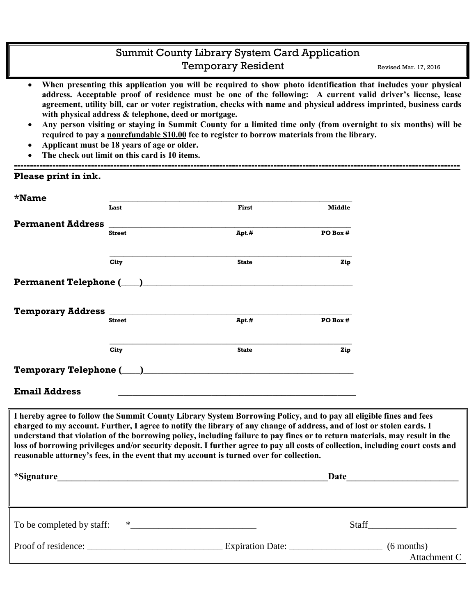### Summit County Library System Card Application Temporary Resident Revised Mar. 17, 2016

- **When presenting this application you will be required to show photo identification that includes your physical address. Acceptable proof of residence must be one of the following: A current valid driver's license, lease agreement, utility bill, car or voter registration, checks with name and physical address imprinted, business cards with physical address & telephone, deed or mortgage.**
- **Any person visiting or staying in Summit County for a limited time only (from overnight to six months) will be required to pay a nonrefundable \$10.00 fee to register to borrow materials from the library.**

**-------------------------------------------------------------------------------------------------------------------------------------------**

- **Applicant must be 18 years of age or older.**
- **The check out limit on this card is 10 items.**

|                          | Last          | First                                                                                                                                                                                                                         | <b>Middle</b> |  |
|--------------------------|---------------|-------------------------------------------------------------------------------------------------------------------------------------------------------------------------------------------------------------------------------|---------------|--|
| <b>Permanent Address</b> |               |                                                                                                                                                                                                                               |               |  |
|                          | <b>Street</b> | $Apt.$ #                                                                                                                                                                                                                      | PO Box #      |  |
|                          | City          | <b>State</b>                                                                                                                                                                                                                  | Zip           |  |
|                          |               |                                                                                                                                                                                                                               |               |  |
|                          | <b>Street</b> | Apt.#                                                                                                                                                                                                                         | PO Box #      |  |
|                          | City          | <b>State</b>                                                                                                                                                                                                                  | Zip           |  |
|                          |               | Temporary Telephone (iii) and the contract of the contract of the contract of the contract of the contract of the contract of the contract of the contract of the contract of the contract of the contract of the contract of |               |  |
| <b>Email Address</b>     |               | <u> 1989 - Johann Stoff, amerikansk politiker (d. 1989)</u>                                                                                                                                                                   |               |  |

\*Signature **Date** To be completed by staff: \*\_\_\_\_\_\_\_\_\_\_\_\_\_\_\_\_\_\_\_\_\_\_\_\_\_\_\_ Staff\_\_\_\_\_\_\_\_\_\_\_\_\_\_\_\_\_\_\_ Proof of residence: \_\_\_\_\_\_\_\_\_\_\_\_\_\_\_\_\_\_\_\_\_\_\_\_\_\_\_\_\_ Expiration Date: \_\_\_\_\_\_\_\_\_\_\_\_\_\_\_\_\_\_\_\_ (6 months) Attachment C

**reasonable attorney's fees, in the event that my account is turned over for collection.**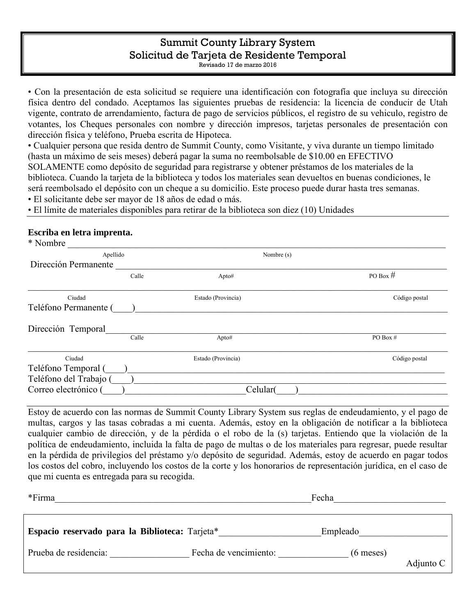## Summit County Library System Solicitud de Tarjeta de Residente Temporal

Revisado 17 de marzo 2016

• Con la presentación de esta solicitud se requiere una identificación con fotografía que incluya su dirección física dentro del condado. Aceptamos las siguientes pruebas de residencia: la licencia de conducir de Utah vigente, contrato de arrendamiento, factura de pago de servicios públicos, el registro de su vehiculo, registro de votantes, los Cheques personales con nombre y dirección impresos, tarjetas personales de presentación con dirección física y teléfono, Prueba escrita de Hipoteca.

• Cualquier persona que resida dentro de Summit County, como Visitante, y viva durante un tiempo limitado (hasta un máximo de seis meses) deberá pagar la suma no reembolsable de \$10.00 en EFECTIVO SOLAMENTE como depósito de seguridad para registrarse y obtener préstamos de los materiales de la biblioteca. Cuando la tarjeta de la biblioteca y todos los materiales sean devueltos en buenas condiciones, le será reembolsado el depósito con un cheque a su domicilio. Este proceso puede durar hasta tres semanas. • El solicitante debe ser mayor de 18 años de edad o más.

• El límite de materiales disponibles para retirar de la biblioteca son diez (10) Unidades

#### **Escriba en letra imprenta.**

| * Nombre               |       |                    |               |
|------------------------|-------|--------------------|---------------|
| Apellido               |       | Nombre (s)         |               |
| Dirección Permanente   |       |                    |               |
|                        | Calle | Apto#              | PO Box $#$    |
| Ciudad                 |       | Estado (Provincia) | Código postal |
| Teléfono Permanente (  |       |                    |               |
| Dirección Temporal     |       |                    |               |
|                        | Calle | Apto#              | PO Box #      |
| Ciudad                 |       | Estado (Provincia) | Código postal |
| Teléfono Temporal (    |       |                    |               |
| Teléfono del Trabajo ( |       |                    |               |
| Correo electrónico (   |       | Celular(           |               |

Estoy de acuerdo con las normas de Summit County Library System sus reglas de endeudamiento, y el pago de multas, cargos y las tasas cobradas a mi cuenta. Además, estoy en la obligación de notificar a la biblioteca cualquier cambio de dirección, y de la pérdida o el robo de la (s) tarjetas. Entiendo que la violación de la política de endeudamiento, incluida la falta de pago de multas o de los materiales para regresar, puede resultar en la pérdida de privilegios del préstamo y/o depósito de seguridad. Además, estoy de acuerdo en pagar todos los costos del cobro, incluyendo los costos de la corte y los honorarios de representación jurídica, en el caso de que mi cuenta es entregada para su recogida.

| *Firma                                         |                       | Fecha                      |  |
|------------------------------------------------|-----------------------|----------------------------|--|
| Espacio reservado para la Biblioteca: Tarjeta* |                       | Empleado                   |  |
| Prueba de residencia:                          | Fecha de vencimiento: | $(6$ meses)<br>Adjunto $C$ |  |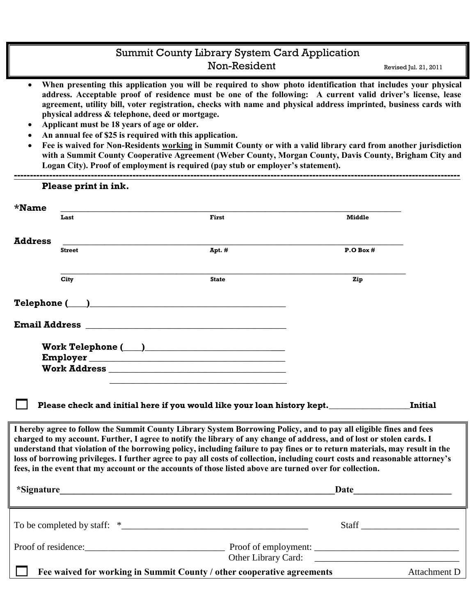### Summit County Library System Card Application Non-Resident Revised Jul. 21, 2011

- **When presenting this application you will be required to show photo identification that includes your physical address. Acceptable proof of residence must be one of the following: A current valid driver's license, lease agreement, utility bill, voter registration, checks with name and physical address imprinted, business cards with physical address & telephone, deed or mortgage.**
- **Applicant must be 18 years of age or older.**
- **An annual fee of \$25 is required with this application.**
- **Fee is waived for Non-Residents working in Summit County or with a valid library card from another jurisdiction with a Summit County Cooperative Agreement (Weber County, Morgan County, Davis County, Brigham City and Logan City). Proof of employment is required (pay stub or employer's statement).**

|                | Please print in ink. |                                                                                                                                                                                                                                                                                                                                                                                                                                                                                                                                                                                                                          |               |                |
|----------------|----------------------|--------------------------------------------------------------------------------------------------------------------------------------------------------------------------------------------------------------------------------------------------------------------------------------------------------------------------------------------------------------------------------------------------------------------------------------------------------------------------------------------------------------------------------------------------------------------------------------------------------------------------|---------------|----------------|
|                |                      |                                                                                                                                                                                                                                                                                                                                                                                                                                                                                                                                                                                                                          |               |                |
| $*$ Name       | Last                 | First                                                                                                                                                                                                                                                                                                                                                                                                                                                                                                                                                                                                                    | <b>Middle</b> |                |
| <b>Address</b> | <b>Street</b>        | Apt. #                                                                                                                                                                                                                                                                                                                                                                                                                                                                                                                                                                                                                   | $P.$ O Box #  |                |
|                | City                 | <b>State</b>                                                                                                                                                                                                                                                                                                                                                                                                                                                                                                                                                                                                             | Zip           |                |
|                |                      |                                                                                                                                                                                                                                                                                                                                                                                                                                                                                                                                                                                                                          |               |                |
|                |                      |                                                                                                                                                                                                                                                                                                                                                                                                                                                                                                                                                                                                                          |               |                |
|                |                      | Work Telephone $(\_\_)$                                                                                                                                                                                                                                                                                                                                                                                                                                                                                                                                                                                                  |               |                |
|                |                      | Please check and initial here if you would like your loan history kept.                                                                                                                                                                                                                                                                                                                                                                                                                                                                                                                                                  |               | <b>Initial</b> |
|                |                      | I hereby agree to follow the Summit County Library System Borrowing Policy, and to pay all eligible fines and fees<br>charged to my account. Further, I agree to notify the library of any change of address, and of lost or stolen cards. I<br>understand that violation of the borrowing policy, including failure to pay fines or to return materials, may result in the<br>loss of borrowing privileges. I further agree to pay all costs of collection, including court costs and reasonable attorney's<br>fees, in the event that my account or the accounts of those listed above are turned over for collection. |               |                |
|                |                      |                                                                                                                                                                                                                                                                                                                                                                                                                                                                                                                                                                                                                          |               |                |
|                |                      |                                                                                                                                                                                                                                                                                                                                                                                                                                                                                                                                                                                                                          |               | Staff          |
|                |                      |                                                                                                                                                                                                                                                                                                                                                                                                                                                                                                                                                                                                                          |               |                |
|                |                      | Fee waived for working in Summit County / other cooperative agreements                                                                                                                                                                                                                                                                                                                                                                                                                                                                                                                                                   |               | Attachment D   |